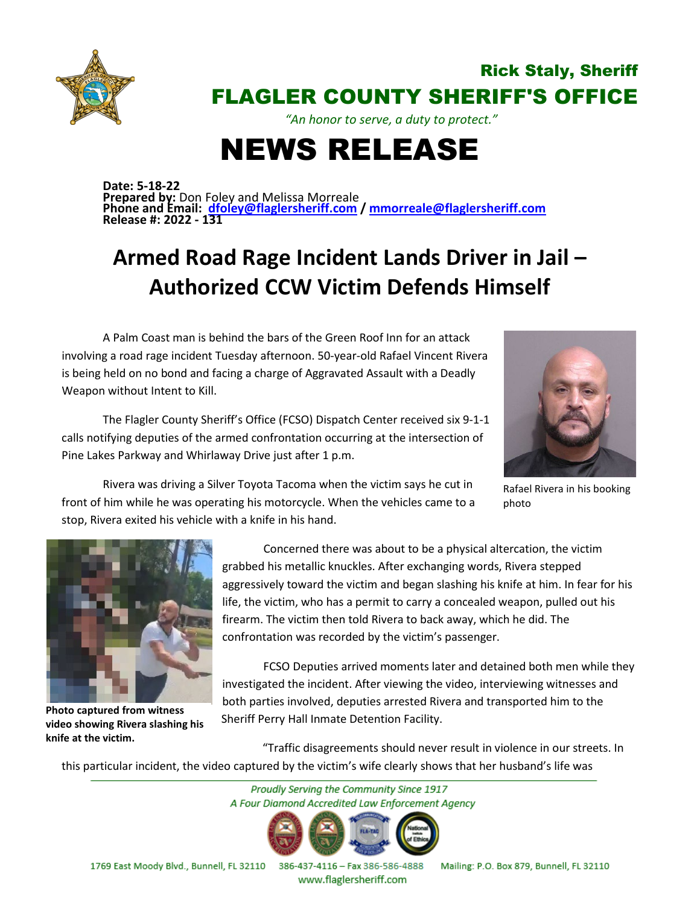

## Rick Staly, Sheriff FLAGLER COUNTY SHERIFF'S OFFICE

*"An honor to serve, a duty to protect."*

## NEWS RELEASE

**Date: 5-18-22 Prepared by:** Don Foley and Melissa Morreale **Phone and Email: [dfoley@flaglersheriff.com](mailto:dfoley@flaglersheriff.com) / [mmorreale@flaglersheriff.com](mailto:mmorreale@flaglersheriff.com) Release #: 2022 - <sup>131</sup>**

## **Armed Road Rage Incident Lands Driver in Jail – Authorized CCW Victim Defends Himself**

A Palm Coast man is behind the bars of the Green Roof Inn for an attack involving a road rage incident Tuesday afternoon. 50-year-old Rafael Vincent Rivera is being held on no bond and facing a charge of Aggravated Assault with a Deadly Weapon without Intent to Kill.

The Flagler County Sheriff's Office (FCSO) Dispatch Center received six 9-1-1 calls notifying deputies of the armed confrontation occurring at the intersection of Pine Lakes Parkway and Whirlaway Drive just after 1 p.m.



Rafael Rivera in his booking photo

Rivera was driving a Silver Toyota Tacoma when the victim says he cut in front of him while he was operating his motorcycle. When the vehicles came to a stop, Rivera exited his vehicle with a knife in his hand.

**Photo captured from witness video showing Rivera slashing his knife at the victim.**

Concerned there was about to be a physical altercation, the victim grabbed his metallic knuckles. After exchanging words, Rivera stepped aggressively toward the victim and began slashing his knife at him. In fear for his life, the victim, who has a permit to carry a concealed weapon, pulled out his firearm. The victim then told Rivera to back away, which he did. The confrontation was recorded by the victim's passenger.

FCSO Deputies arrived moments later and detained both men while they investigated the incident. After viewing the video, interviewing witnesses and both parties involved, deputies arrested Rivera and transported him to the Sheriff Perry Hall Inmate Detention Facility.

"Traffic disagreements should never result in violence in our streets. In this particular incident, the video captured by the victim's wife clearly shows that her husband's life was

> Proudly Serving the Community Since 1917 A Four Diamond Accredited Law Enforcement Agency



1769 East Moody Blvd., Bunnell, FL 32110 386-437-4116 - Fax 386-586-4888

www.flaglersheriff.com

Mailing: P.O. Box 879, Bunnell, FL 32110